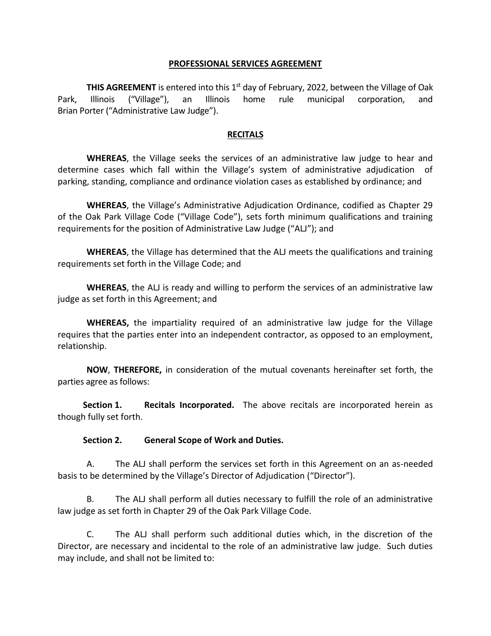#### **PROFESSIONAL SERVICES AGREEMENT**

THIS AGREEMENT is entered into this 1<sup>st</sup> day of February, 2022, between the Village of Oak Park, Illinois ("Village"), an Illinois home rule municipal corporation, and Brian Porter ("Administrative Law Judge").

#### **RECITALS**

**WHEREAS**, the Village seeks the services of an administrative law judge to hear and determine cases which fall within the Village's system of administrative adjudication of parking, standing, compliance and ordinance violation cases as established by ordinance; and

**WHEREAS**, the Village's Administrative Adjudication Ordinance, codified as Chapter 29 of the Oak Park Village Code ("Village Code"), sets forth minimum qualifications and training requirements for the position of Administrative Law Judge ("ALJ"); and

**WHEREAS**, the Village has determined that the ALJ meets the qualifications and training requirements set forth in the Village Code; and

**WHEREAS**, the ALJ is ready and willing to perform the services of an administrative law judge as set forth in this Agreement; and

**WHEREAS,** the impartiality required of an administrative law judge for the Village requires that the parties enter into an independent contractor, as opposed to an employment, relationship.

**NOW**, **THEREFORE,** in consideration of the mutual covenants hereinafter set forth, the parties agree as follows:

**Section 1. Recitals Incorporated.** The above recitals are incorporated herein as though fully set forth.

#### **Section 2. General Scope of Work and Duties.**

A. The ALJ shall perform the services set forth in this Agreement on an as-needed basis to be determined by the Village's Director of Adjudication ("Director").

B. The ALJ shall perform all duties necessary to fulfill the role of an administrative law judge as set forth in Chapter 29 of the Oak Park Village Code.

C. The ALJ shall perform such additional duties which, in the discretion of the Director, are necessary and incidental to the role of an administrative law judge. Such duties may include, and shall not be limited to: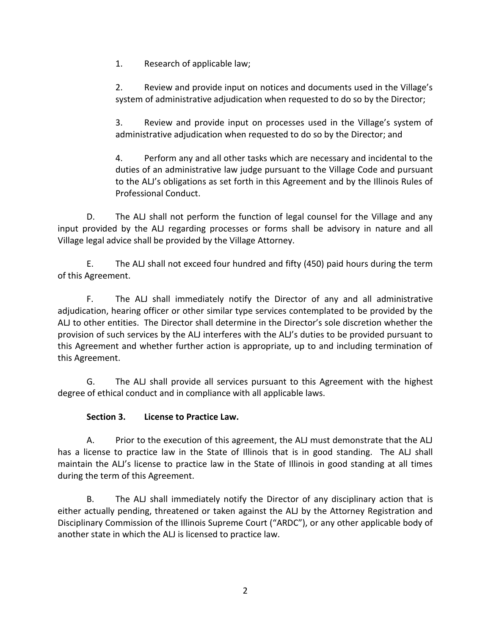1. Research of applicable law;

2. Review and provide input on notices and documents used in the Village's system of administrative adjudication when requested to do so by the Director;

3. Review and provide input on processes used in the Village's system of administrative adjudication when requested to do so by the Director; and

4. Perform any and all other tasks which are necessary and incidental to the duties of an administrative law judge pursuant to the Village Code and pursuant to the ALJ's obligations as set forth in this Agreement and by the Illinois Rules of Professional Conduct.

D. The ALJ shall not perform the function of legal counsel for the Village and any input provided by the ALJ regarding processes or forms shall be advisory in nature and all Village legal advice shall be provided by the Village Attorney.

E. The ALJ shall not exceed four hundred and fifty (450) paid hours during the term of this Agreement.

F. The ALJ shall immediately notify the Director of any and all administrative adjudication, hearing officer or other similar type services contemplated to be provided by the ALJ to other entities. The Director shall determine in the Director's sole discretion whether the provision of such services by the ALJ interferes with the ALJ's duties to be provided pursuant to this Agreement and whether further action is appropriate, up to and including termination of this Agreement.

G. The ALJ shall provide all services pursuant to this Agreement with the highest degree of ethical conduct and in compliance with all applicable laws.

# **Section 3. License to Practice Law.**

A. Prior to the execution of this agreement, the ALJ must demonstrate that the ALJ has a license to practice law in the State of Illinois that is in good standing. The ALJ shall maintain the ALJ's license to practice law in the State of Illinois in good standing at all times during the term of this Agreement.

B. The ALJ shall immediately notify the Director of any disciplinary action that is either actually pending, threatened or taken against the ALJ by the Attorney Registration and Disciplinary Commission of the Illinois Supreme Court ("ARDC"), or any other applicable body of another state in which the ALJ is licensed to practice law.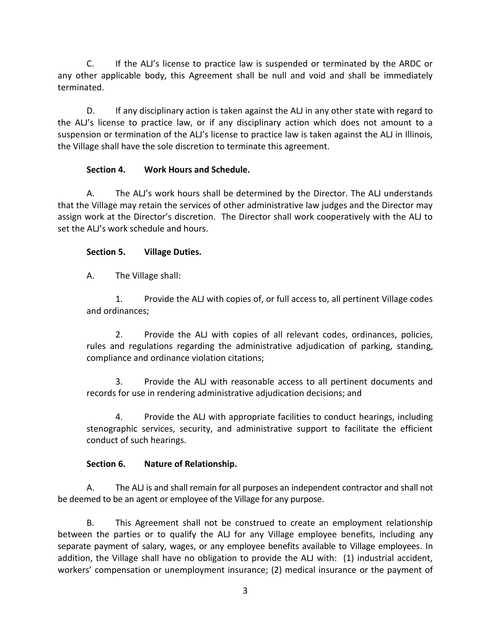C. If the ALJ's license to practice law is suspended or terminated by the ARDC or any other applicable body, this Agreement shall be null and void and shall be immediately terminated.

D. If any disciplinary action is taken against the ALJ in any other state with regard to the ALJ's license to practice law, or if any disciplinary action which does not amount to a suspension or termination of the ALJ's license to practice law is taken against the ALJ in Illinois, the Village shall have the sole discretion to terminate this agreement.

# **Section 4. Work Hours and Schedule.**

A. The ALJ's work hours shall be determined by the Director. The ALJ understands that the Village may retain the services of other administrative law judges and the Director may assign work at the Director's discretion. The Director shall work cooperatively with the ALJ to set the ALJ's work schedule and hours.

# **Section 5. Village Duties.**

A. The Village shall:

1. Provide the ALJ with copies of, or full access to, all pertinent Village codes and ordinances;

2. Provide the ALJ with copies of all relevant codes, ordinances, policies, rules and regulations regarding the administrative adjudication of parking, standing, compliance and ordinance violation citations;

3. Provide the ALJ with reasonable access to all pertinent documents and records for use in rendering administrative adjudication decisions; and

4. Provide the ALJ with appropriate facilities to conduct hearings, including stenographic services, security, and administrative support to facilitate the efficient conduct of such hearings.

# **Section 6. Nature of Relationship.**

A. The ALJ is and shall remain for all purposes an independent contractor and shall not be deemed to be an agent or employee of the Village for any purpose.

B. This Agreement shall not be construed to create an employment relationship between the parties or to qualify the ALJ for any Village employee benefits, including any separate payment of salary, wages, or any employee benefits available to Village employees. In addition, the Village shall have no obligation to provide the ALJ with: (1) industrial accident, workers' compensation or unemployment insurance; (2) medical insurance or the payment of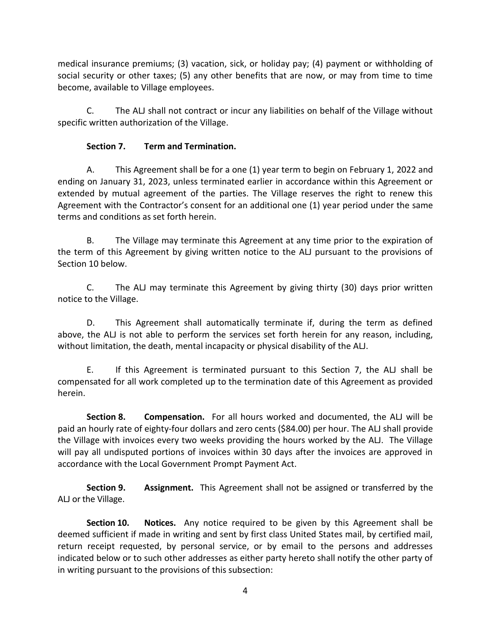medical insurance premiums; (3) vacation, sick, or holiday pay; (4) payment or withholding of social security or other taxes; (5) any other benefits that are now, or may from time to time become, available to Village employees.

C. The ALJ shall not contract or incur any liabilities on behalf of the Village without specific written authorization of the Village.

# **Section 7. Term and Termination.**

A. This Agreement shall be for a one (1) year term to begin on February 1, 2022 and ending on January 31, 2023, unless terminated earlier in accordance within this Agreement or extended by mutual agreement of the parties. The Village reserves the right to renew this Agreement with the Contractor's consent for an additional one (1) year period under the same terms and conditions as set forth herein.

B. The Village may terminate this Agreement at any time prior to the expiration of the term of this Agreement by giving written notice to the ALJ pursuant to the provisions of Section 10 below.

C. The ALJ may terminate this Agreement by giving thirty (30) days prior written notice to the Village.

D. This Agreement shall automatically terminate if, during the term as defined above, the ALJ is not able to perform the services set forth herein for any reason, including, without limitation, the death, mental incapacity or physical disability of the ALJ.

E. If this Agreement is terminated pursuant to this Section 7, the ALJ shall be compensated for all work completed up to the termination date of this Agreement as provided herein.

**Section 8. Compensation.** For all hours worked and documented, the ALJ will be paid an hourly rate of eighty-four dollars and zero cents (\$84.00) per hour. The ALJ shall provide the Village with invoices every two weeks providing the hours worked by the ALJ. The Village will pay all undisputed portions of invoices within 30 days after the invoices are approved in accordance with the Local Government Prompt Payment Act.

**Section 9. Assignment.** This Agreement shall not be assigned or transferred by the ALJ or the Village.

**Section 10. Notices.** Any notice required to be given by this Agreement shall be deemed sufficient if made in writing and sent by first class United States mail, by certified mail, return receipt requested, by personal service, or by email to the persons and addresses indicated below or to such other addresses as either party hereto shall notify the other party of in writing pursuant to the provisions of this subsection: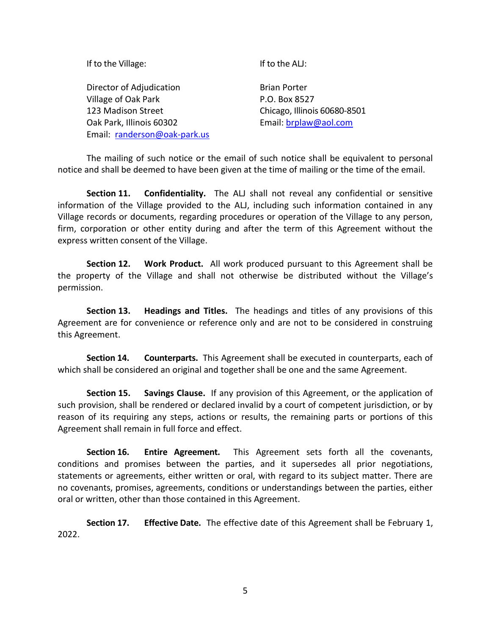| If to the Village:<br>If to the ALJ:            |                              |
|-------------------------------------------------|------------------------------|
| Director of Adjudication<br><b>Brian Porter</b> |                              |
| Village of Oak Park                             | P.O. Box 8527                |
| 123 Madison Street                              | Chicago, Illinois 60680-8501 |
| Oak Park, Illinois 60302                        | Email: brplaw@aol.com        |
| Email: randerson@oak-park.us                    |                              |

The mailing of such notice or the email of such notice shall be equivalent to personal notice and shall be deemed to have been given at the time of mailing or the time of the email.

**Section 11. Confidentiality.** The ALJ shall not reveal any confidential or sensitive information of the Village provided to the ALJ, including such information contained in any Village records or documents, regarding procedures or operation of the Village to any person, firm, corporation or other entity during and after the term of this Agreement without the express written consent of the Village.

**Section 12. Work Product.** All work produced pursuant to this Agreement shall be the property of the Village and shall not otherwise be distributed without the Village's permission.

**Section 13. Headings and Titles.** The headings and titles of any provisions of this Agreement are for convenience or reference only and are not to be considered in construing this Agreement.

**Section 14. Counterparts.** This Agreement shall be executed in counterparts, each of which shall be considered an original and together shall be one and the same Agreement.

**Section 15. Savings Clause.** If any provision of this Agreement, or the application of such provision, shall be rendered or declared invalid by a court of competent jurisdiction, or by reason of its requiring any steps, actions or results, the remaining parts or portions of this Agreement shall remain in full force and effect.

**Section 16. Entire Agreement.** This Agreement sets forth all the covenants, conditions and promises between the parties, and it supersedes all prior negotiations, statements or agreements, either written or oral, with regard to its subject matter. There are no covenants, promises, agreements, conditions or understandings between the parties, either oral or written, other than those contained in this Agreement.

**Section 17. Effective Date.** The effective date of this Agreement shall be February 1, 2022.